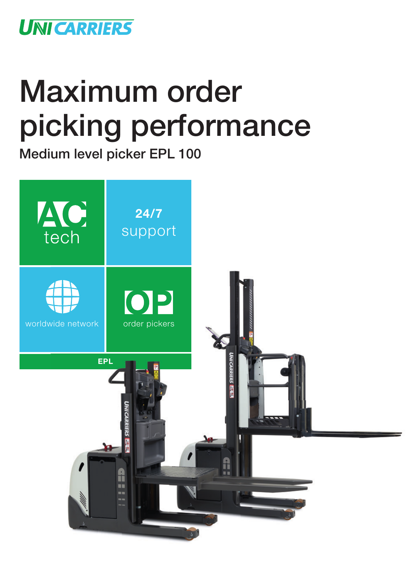

## Maximum order picking performance

Medium level picker EPL 100

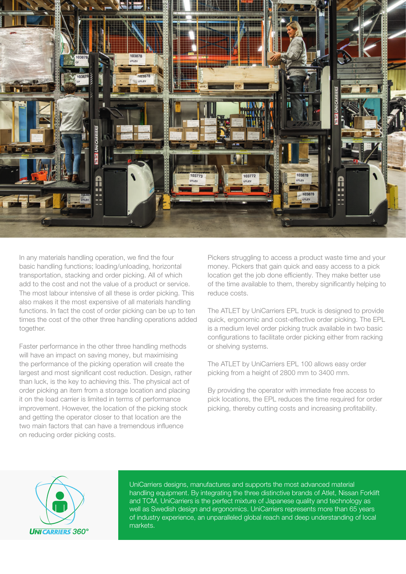

In any materials handling operation, we find the four basic handling functions; loading/unloading, horizontal transportation, stacking and order picking. All of which add to the cost and not the value of a product or service. The most labour intensive of all these is order picking. This also makes it the most expensive of all materials handling functions. In fact the cost of order picking can be up to ten times the cost of the other three handling operations added together.

Faster performance in the other three handling methods will have an impact on saving money, but maximising the performance of the picking operation will create the largest and most significant cost reduction. Design, rather than luck, is the key to achieving this. The physical act of order picking an item from a storage location and placing it on the load carrier is limited in terms of performance improvement. However, the location of the picking stock and getting the operator closer to that location are the two main factors that can have a tremendous influence on reducing order picking costs.

Pickers struggling to access a product waste time and your money. Pickers that gain quick and easy access to a pick location get the job done efficiently. They make better use of the time available to them, thereby significantly helping to reduce costs.

The ATLET by UniCarriers EPL truck is designed to provide quick, ergonomic and cost-effective order picking. The EPL is a medium level order picking truck available in two basic configurations to facilitate order picking either from racking or shelving systems.

The ATLET by UniCarriers EPL 100 allows easy order picking from a height of 2800 mm to 3400 mm.

By providing the operator with immediate free access to pick locations, the EPL reduces the time required for order picking, thereby cutting costs and increasing profitability.



UniCarriers designs, manufactures and supports the most advanced material handling equipment. By integrating the three distinctive brands of Atlet, Nissan Forklift and TCM, UniCarriers is the perfect mixture of Japanese quality and technology as well as Swedish design and ergonomics. UniCarriers represents more than 65 years of industry experience, an unparalleled global reach and deep understanding of local markets.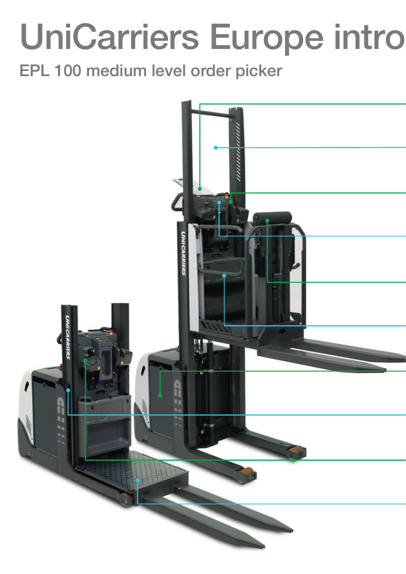## UniCarriers Europe intro

EPL 100 medium level order picker

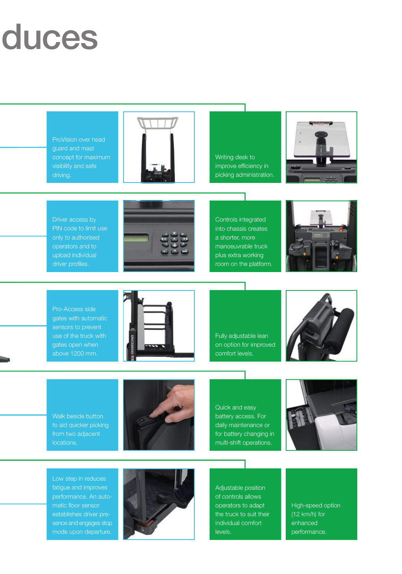## duces

ProVision over head guard and mast concept for maximum visibility and safe driving.



Writing desk to improve efficiency in picking administration.



Driver access by PIN code to limit use only to authorised operators and to upload individual driver profiles.



Controls integrated into chassis creates a shorter, more manoeuvrable truck plus extra working room on the platform.



Pro-Access side gates with automatic sensors to prevent use of the truck with gates open when above 1200 mm.



Fully adjustable lean on option for improved comfort levels.



Walk beside button to aid quicker picking from two adjacent locations.



Quick and easy battery access. For daily maintenance or for battery changing in multi-shift operations.



Low step in reduces fatigue and improves performance. An automatic floor sensor establishes driver presence and engages stop mode upon departure.



Adjustable position of controls allows operators to adapt the truck to suit their individual comfort levels.

High-speed option (12 km/h) for enhanced performance.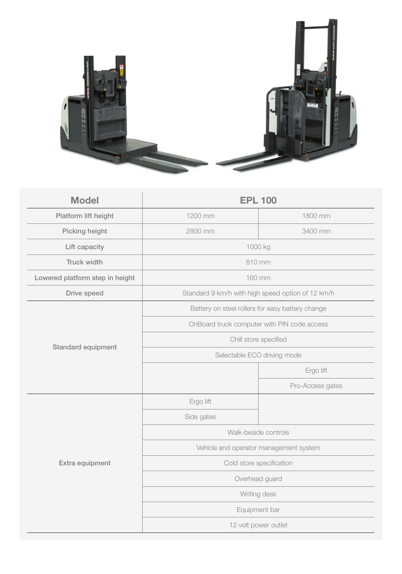

| <b>Model</b>                    | <b>EPL 100</b>                                    |                  |
|---------------------------------|---------------------------------------------------|------------------|
| Platform lift height            | 1200 mm                                           | 1800 mm          |
| Picking height                  | 2800 mm                                           | 3400 mm          |
| Lift capacity                   | 1000 kg                                           |                  |
| <b>Truck width</b>              | 810 mm                                            |                  |
| Lowered platform step in height | 160 mm                                            |                  |
| Drive speed                     | Standard 9 km/h with high speed option of 12 km/h |                  |
| Standard equipment              | Battery on steel rollers for easy battery change  |                  |
|                                 | OnBoard truck computer with PIN code access       |                  |
|                                 | Chill store specified                             |                  |
|                                 | Selectable ECO driving mode                       |                  |
|                                 |                                                   | Ergo lift        |
|                                 |                                                   | Pro-Access gates |
| Extra equipment                 | Ergo lift                                         |                  |
|                                 | Side gates                                        |                  |
|                                 | Walk-beside controls                              |                  |
|                                 | Vehicle and operator management system            |                  |
|                                 | Cold store specification                          |                  |
|                                 | Overhead guard                                    |                  |
|                                 | Writing desk                                      |                  |
|                                 | Equipment bar                                     |                  |
|                                 | 12 volt power outlet                              |                  |